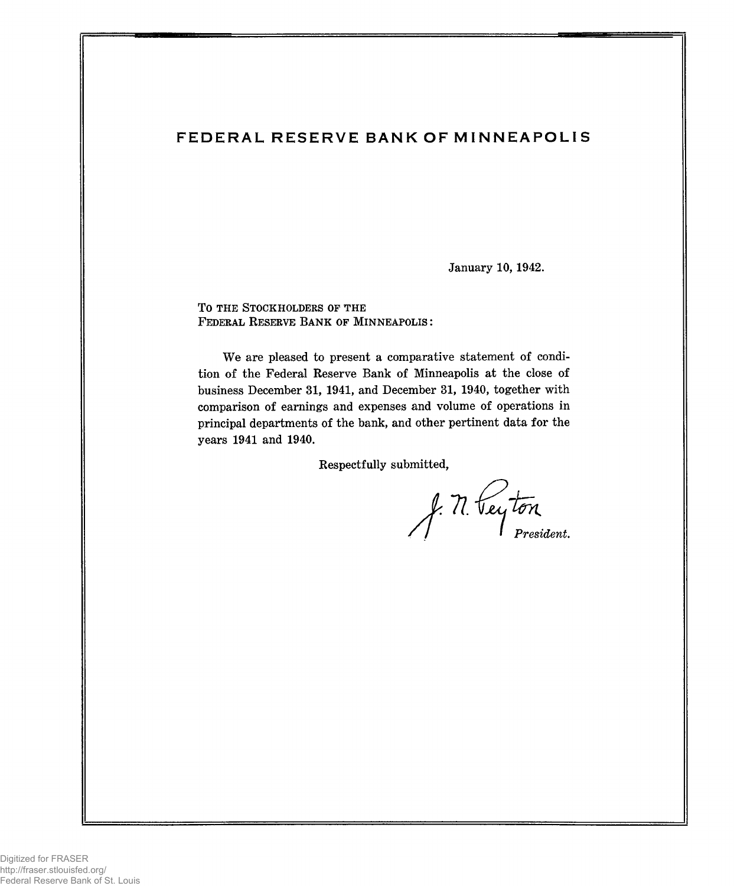# FEDERAL RESERVE BANK OF MINNEAPOLIS

January 10, 1942.

TO THE STOCKHOLDERS OF THE **F ederal R eserve Ba n k of M in n e a p o l is :**

We are pleased to present a comparative statement of condition of the Federal Reserve Bank of Minneapolis at the close of business December 31, 1941, and December 31, 1940, together with comparison of earnings and expenses and volume of operations in principal departments of the bank, and other pertinent data for the years 1941 and 1940.

Respectfully submitted,

*President.*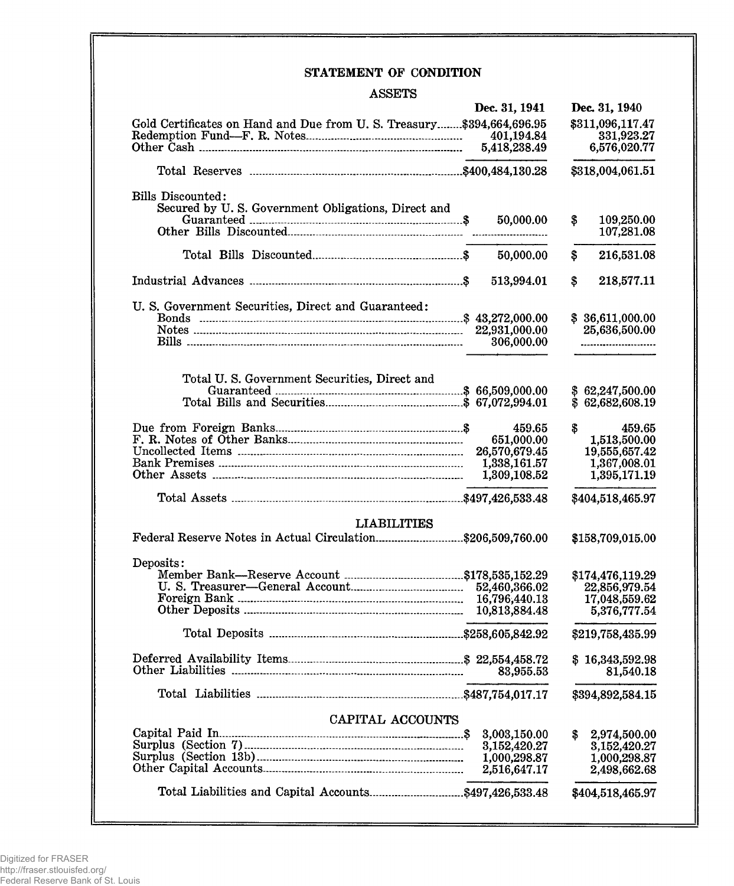## STATEMENT OF CONDITION

### ASSETS

|                                                                       | Dec. 31, 1941 | Dec. 31, 1940            |
|-----------------------------------------------------------------------|---------------|--------------------------|
| Gold Certificates on Hand and Due from U.S. Treasury \$394,664,696.95 |               | \$311,096,117.47         |
|                                                                       | 401,194.84    | 331,923.27               |
|                                                                       | 5,418,238.49  | 6,576,020.77             |
|                                                                       |               |                          |
|                                                                       |               | \$318,004,061.51         |
| Bills Discounted:                                                     |               |                          |
| Secured by U.S. Government Obligations, Direct and                    |               |                          |
|                                                                       | 50,000.00     | \$<br>109,250.00         |
|                                                                       |               | 107,281.08               |
|                                                                       | 50,000.00     | \$<br>216,531.08         |
|                                                                       | 513,994.01    | 218,577.11<br>\$         |
|                                                                       |               |                          |
| U. S. Government Securities, Direct and Guaranteed:                   |               |                          |
|                                                                       |               | \$36,611,000.00          |
|                                                                       | 22,931,000.00 | 25,636,500.00            |
| <u>Bills ………………………………………………………………………………</u>                           | 306,000.00    | ------------------------ |
|                                                                       |               |                          |
| Total U.S. Government Securities, Direct and                          |               |                          |
|                                                                       |               | \$62,247,500.00          |
|                                                                       |               | \$62,682,608.19          |
|                                                                       | 459.65        | \$<br>459.65             |
|                                                                       | 651,000.00    | 1,513,500.00             |
|                                                                       | 26,570,679.45 | 19,555,657.42            |
|                                                                       | 1,338,161.57  | 1,367,008.01             |
|                                                                       | 1,309,108.52  | 1,395,171.19             |
|                                                                       |               | \$404,518,465.97         |
|                                                                       |               |                          |
| <b>LIABILITIES</b>                                                    |               |                          |
| Federal Reserve Notes in Actual Circulation\$206,509,760.00           |               | \$158,709,015.00         |
| Deposits:                                                             |               |                          |
|                                                                       |               | \$174,476,119.29         |
|                                                                       |               | 22,856,979.54            |
|                                                                       | 16,796,440.13 | 17,048,559.62            |
|                                                                       | 10,813,884.48 | 5,376,777.54             |
|                                                                       |               | \$219,758,435.99         |
|                                                                       |               |                          |
|                                                                       |               | \$16,343,592.98          |
|                                                                       | 83,955.53     | 81,540.18                |
|                                                                       |               | \$394,892,584.15         |
| CAPITAL ACCOUNTS                                                      |               |                          |
|                                                                       | 3,003,150.00  | 2,974,500.00<br>S.       |
|                                                                       | 3,152,420.27  |                          |
|                                                                       |               | 3,152,420.27             |
|                                                                       | 1,000,298.87  | 1,000,298.87             |
|                                                                       | 2,516,647.17  | 2,498,662.68             |
|                                                                       |               | \$404,518,465.97         |
|                                                                       |               |                          |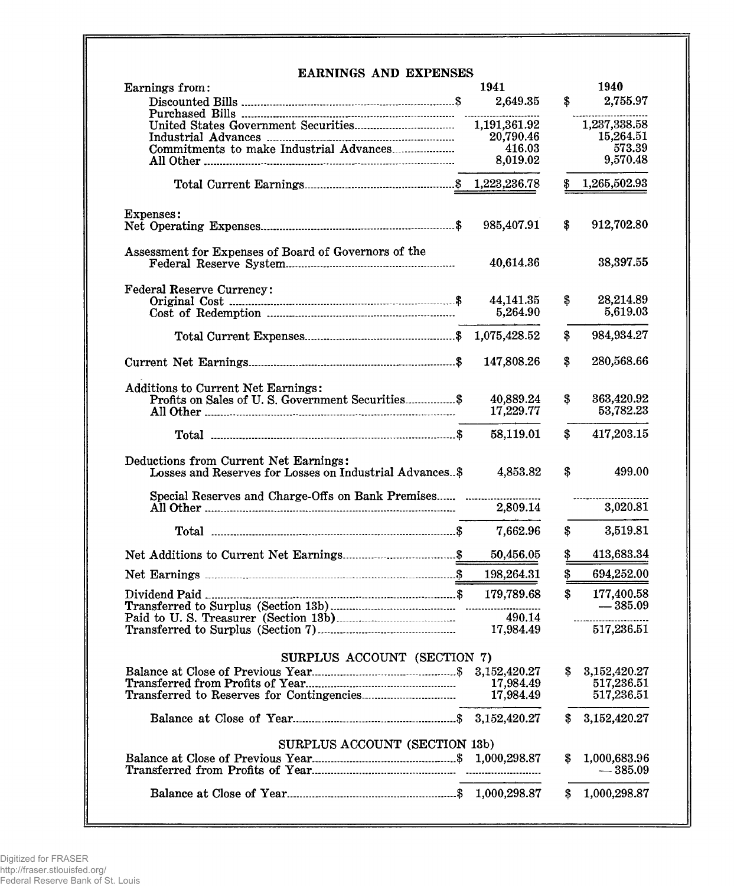| <b>EARNINGS AND EXPENSES</b><br>Earnings from:                                                   |   | 1941                  |                   | 1940                      |
|--------------------------------------------------------------------------------------------------|---|-----------------------|-------------------|---------------------------|
|                                                                                                  |   | 2,649.35              | \$                | 2,755.97                  |
|                                                                                                  |   |                       |                   |                           |
|                                                                                                  |   | 1,191,361.92          |                   | 1,237,338.58              |
|                                                                                                  |   | 20,790.46             |                   | 15,264.51                 |
| Commitments to make Industrial Advances                                                          |   | 416.03                |                   | 573.39                    |
|                                                                                                  |   | 8,019.02              |                   | 9,570.48                  |
|                                                                                                  |   |                       | \$                | 1,265,502.93              |
| Expenses:                                                                                        |   |                       |                   |                           |
|                                                                                                  |   | 985,407.91            | \$                | 912,702.80                |
| Assessment for Expenses of Board of Governors of the                                             |   | 40,614.36             |                   | 38,397.55                 |
| <b>Federal Reserve Currency:</b>                                                                 |   |                       |                   |                           |
|                                                                                                  |   | 44,141.35<br>5,264.90 | \$                | 28,214.89<br>5,619.03     |
|                                                                                                  |   |                       |                   |                           |
|                                                                                                  |   |                       | \$                | 984,934.27                |
|                                                                                                  |   | 147,808.26            | \$                | 280,568.66                |
| <b>Additions to Current Net Earnings:</b>                                                        |   |                       |                   |                           |
| Profits on Sales of U.S. Government Securities \$                                                |   | 40,889.24             | \$                | 363,420.92                |
|                                                                                                  |   | 17,229.77             |                   | 53,782.23                 |
|                                                                                                  |   | 58,119.01             | $\mathbf{\$}$     | 417,203.15                |
| Deductions from Current Net Earnings:<br>Losses and Reserves for Losses on Industrial Advances\$ |   | 4,853.82              | $\boldsymbol{\$}$ | 499.00                    |
| Special Reserves and Charge-Offs on Bank Premises                                                |   | 2,809.14              |                   | 3,020.81                  |
|                                                                                                  |   | 7,662.96              | \$                | 3,519.81                  |
|                                                                                                  |   | 50,456.05             | \$                | 413,683.34                |
|                                                                                                  | ደ | 198,264.31            | $\mathbf{s}$      | 694,252.00                |
|                                                                                                  |   | 179,789.68            | $\mathbf{\$}$     | 177,400.58                |
|                                                                                                  |   |                       |                   | $-385.09$                 |
|                                                                                                  |   | 490.14                |                   |                           |
|                                                                                                  |   | 17,984.49             |                   | 517,236.51                |
| SURPLUS ACCOUNT (SECTION 7)                                                                      |   |                       |                   |                           |
|                                                                                                  |   |                       | S.                | 3,152,420.27              |
|                                                                                                  |   | 17,984.49             |                   | 517,236.51                |
|                                                                                                  |   | 17,984.49             |                   | 517,236.51                |
|                                                                                                  |   |                       | S.                | 3,152,420.27              |
| SURPLUS ACCOUNT (SECTION 13b)                                                                    |   |                       |                   |                           |
|                                                                                                  |   |                       | \$                | 1,000,683.96<br>$-385.09$ |
|                                                                                                  |   |                       |                   |                           |
|                                                                                                  |   |                       | S.                | 1,000,298.87              |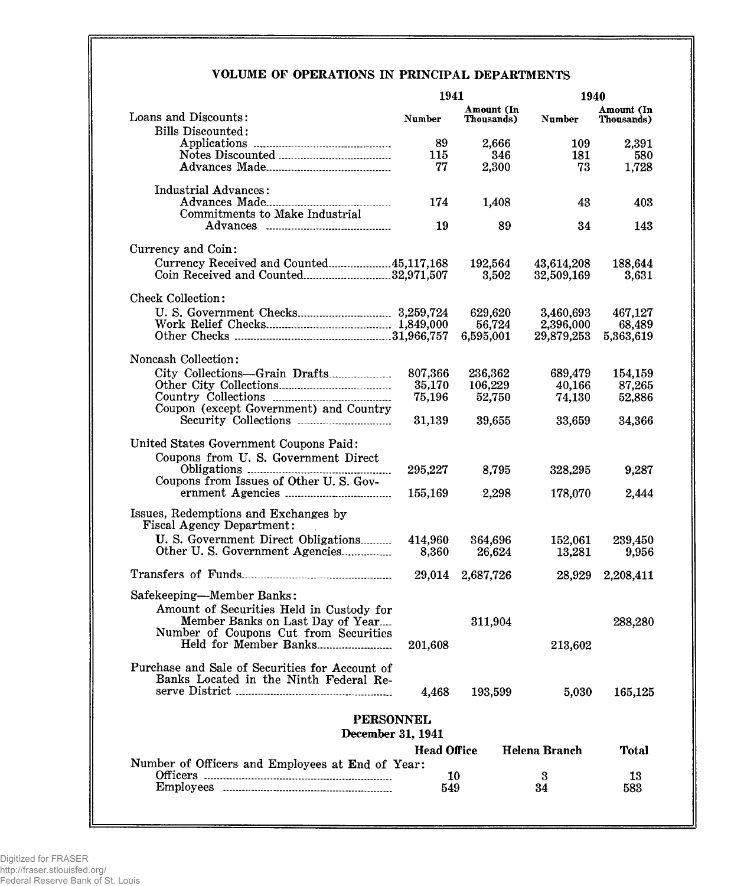## VOLUME OF OPERATIONS IN PRINCIPAL DEPARTMENTS

| 1941    |                                                                                                                                                                                                                                                                                                                                                                                                                                                                                                                                                                                                                         | 1940                                                                                                                                                            |                                                                                                                                                           |  |
|---------|-------------------------------------------------------------------------------------------------------------------------------------------------------------------------------------------------------------------------------------------------------------------------------------------------------------------------------------------------------------------------------------------------------------------------------------------------------------------------------------------------------------------------------------------------------------------------------------------------------------------------|-----------------------------------------------------------------------------------------------------------------------------------------------------------------|-----------------------------------------------------------------------------------------------------------------------------------------------------------|--|
| Number  | Amount (In<br>Thousands)                                                                                                                                                                                                                                                                                                                                                                                                                                                                                                                                                                                                | Number                                                                                                                                                          | Amount (In<br>Thousands)                                                                                                                                  |  |
|         |                                                                                                                                                                                                                                                                                                                                                                                                                                                                                                                                                                                                                         |                                                                                                                                                                 |                                                                                                                                                           |  |
|         |                                                                                                                                                                                                                                                                                                                                                                                                                                                                                                                                                                                                                         |                                                                                                                                                                 | 2,391<br>580                                                                                                                                              |  |
| 77      | 2,300                                                                                                                                                                                                                                                                                                                                                                                                                                                                                                                                                                                                                   | 73                                                                                                                                                              | 1,728                                                                                                                                                     |  |
|         |                                                                                                                                                                                                                                                                                                                                                                                                                                                                                                                                                                                                                         |                                                                                                                                                                 |                                                                                                                                                           |  |
|         |                                                                                                                                                                                                                                                                                                                                                                                                                                                                                                                                                                                                                         |                                                                                                                                                                 | 403                                                                                                                                                       |  |
| 19      | 89                                                                                                                                                                                                                                                                                                                                                                                                                                                                                                                                                                                                                      | 34                                                                                                                                                              | 143                                                                                                                                                       |  |
|         |                                                                                                                                                                                                                                                                                                                                                                                                                                                                                                                                                                                                                         |                                                                                                                                                                 |                                                                                                                                                           |  |
|         |                                                                                                                                                                                                                                                                                                                                                                                                                                                                                                                                                                                                                         |                                                                                                                                                                 | 188,644                                                                                                                                                   |  |
|         | 3,502                                                                                                                                                                                                                                                                                                                                                                                                                                                                                                                                                                                                                   | 32,509,169                                                                                                                                                      | 3,631                                                                                                                                                     |  |
|         |                                                                                                                                                                                                                                                                                                                                                                                                                                                                                                                                                                                                                         |                                                                                                                                                                 |                                                                                                                                                           |  |
|         | 629,620                                                                                                                                                                                                                                                                                                                                                                                                                                                                                                                                                                                                                 | 3,460,693                                                                                                                                                       | 467,127                                                                                                                                                   |  |
|         |                                                                                                                                                                                                                                                                                                                                                                                                                                                                                                                                                                                                                         |                                                                                                                                                                 | 68,489<br>5,363,619                                                                                                                                       |  |
|         |                                                                                                                                                                                                                                                                                                                                                                                                                                                                                                                                                                                                                         |                                                                                                                                                                 |                                                                                                                                                           |  |
|         |                                                                                                                                                                                                                                                                                                                                                                                                                                                                                                                                                                                                                         |                                                                                                                                                                 | 154,159                                                                                                                                                   |  |
|         |                                                                                                                                                                                                                                                                                                                                                                                                                                                                                                                                                                                                                         |                                                                                                                                                                 | 87,265                                                                                                                                                    |  |
|         |                                                                                                                                                                                                                                                                                                                                                                                                                                                                                                                                                                                                                         |                                                                                                                                                                 | 52,886                                                                                                                                                    |  |
|         |                                                                                                                                                                                                                                                                                                                                                                                                                                                                                                                                                                                                                         |                                                                                                                                                                 |                                                                                                                                                           |  |
|         |                                                                                                                                                                                                                                                                                                                                                                                                                                                                                                                                                                                                                         |                                                                                                                                                                 | 34,366                                                                                                                                                    |  |
|         |                                                                                                                                                                                                                                                                                                                                                                                                                                                                                                                                                                                                                         |                                                                                                                                                                 |                                                                                                                                                           |  |
|         |                                                                                                                                                                                                                                                                                                                                                                                                                                                                                                                                                                                                                         |                                                                                                                                                                 |                                                                                                                                                           |  |
|         |                                                                                                                                                                                                                                                                                                                                                                                                                                                                                                                                                                                                                         |                                                                                                                                                                 | 9,287                                                                                                                                                     |  |
| 155,169 | 2,298                                                                                                                                                                                                                                                                                                                                                                                                                                                                                                                                                                                                                   | 178,070                                                                                                                                                         | 2,444                                                                                                                                                     |  |
|         |                                                                                                                                                                                                                                                                                                                                                                                                                                                                                                                                                                                                                         |                                                                                                                                                                 |                                                                                                                                                           |  |
| 414,960 | 364,696                                                                                                                                                                                                                                                                                                                                                                                                                                                                                                                                                                                                                 | 152,061                                                                                                                                                         | 239,450                                                                                                                                                   |  |
|         |                                                                                                                                                                                                                                                                                                                                                                                                                                                                                                                                                                                                                         |                                                                                                                                                                 | 9,956                                                                                                                                                     |  |
|         | 2,687,726                                                                                                                                                                                                                                                                                                                                                                                                                                                                                                                                                                                                               |                                                                                                                                                                 | 2,208,411                                                                                                                                                 |  |
|         |                                                                                                                                                                                                                                                                                                                                                                                                                                                                                                                                                                                                                         |                                                                                                                                                                 |                                                                                                                                                           |  |
|         |                                                                                                                                                                                                                                                                                                                                                                                                                                                                                                                                                                                                                         |                                                                                                                                                                 |                                                                                                                                                           |  |
|         |                                                                                                                                                                                                                                                                                                                                                                                                                                                                                                                                                                                                                         |                                                                                                                                                                 | 288,280                                                                                                                                                   |  |
| 201,608 |                                                                                                                                                                                                                                                                                                                                                                                                                                                                                                                                                                                                                         | 213,602                                                                                                                                                         |                                                                                                                                                           |  |
|         |                                                                                                                                                                                                                                                                                                                                                                                                                                                                                                                                                                                                                         |                                                                                                                                                                 |                                                                                                                                                           |  |
|         |                                                                                                                                                                                                                                                                                                                                                                                                                                                                                                                                                                                                                         |                                                                                                                                                                 |                                                                                                                                                           |  |
| 4,468   | 193,599                                                                                                                                                                                                                                                                                                                                                                                                                                                                                                                                                                                                                 | 5,030                                                                                                                                                           | 165,125                                                                                                                                                   |  |
|         |                                                                                                                                                                                                                                                                                                                                                                                                                                                                                                                                                                                                                         |                                                                                                                                                                 |                                                                                                                                                           |  |
|         |                                                                                                                                                                                                                                                                                                                                                                                                                                                                                                                                                                                                                         |                                                                                                                                                                 |                                                                                                                                                           |  |
|         |                                                                                                                                                                                                                                                                                                                                                                                                                                                                                                                                                                                                                         |                                                                                                                                                                 | <b>Total</b>                                                                                                                                              |  |
|         |                                                                                                                                                                                                                                                                                                                                                                                                                                                                                                                                                                                                                         |                                                                                                                                                                 |                                                                                                                                                           |  |
| 10      |                                                                                                                                                                                                                                                                                                                                                                                                                                                                                                                                                                                                                         | 3                                                                                                                                                               | 13                                                                                                                                                        |  |
|         | 89<br>115<br>174<br>Currency Received and Counted45,117,168<br>City Collections-Grain Drafts<br>807,366<br>35,170<br>75,196<br>Coupon (except Government) and Country<br>31,139<br>295,227<br>U. S. Government Direct Obligations<br>Other U.S. Government Agencies<br>8,360<br>Amount of Securities Held in Custody for<br>Member Banks on Last Day of Year<br>Number of Coupons Cut from Securities<br>Held for Member Banks<br>Purchase and Sale of Securities for Account of<br>Banks Located in the Ninth Federal Re-<br><b>PERSONNEL</b><br>December 31, 1941<br>Number of Officers and Employees at End of Year: | 2,666<br>346<br>1,408<br>192,564<br>56,724<br>6,595,001<br>236,362<br>106,229<br>52,750<br>39,655<br>8,795<br>26,624<br>29,014<br>311,904<br><b>Head Office</b> | <b>109</b><br>181<br>43<br>43,614,208<br>2,396,000<br>29,879,253<br>689,479<br>40,166<br>74,130<br>33,659<br>328,295<br>13,281<br>28,929<br>Helena Branch |  |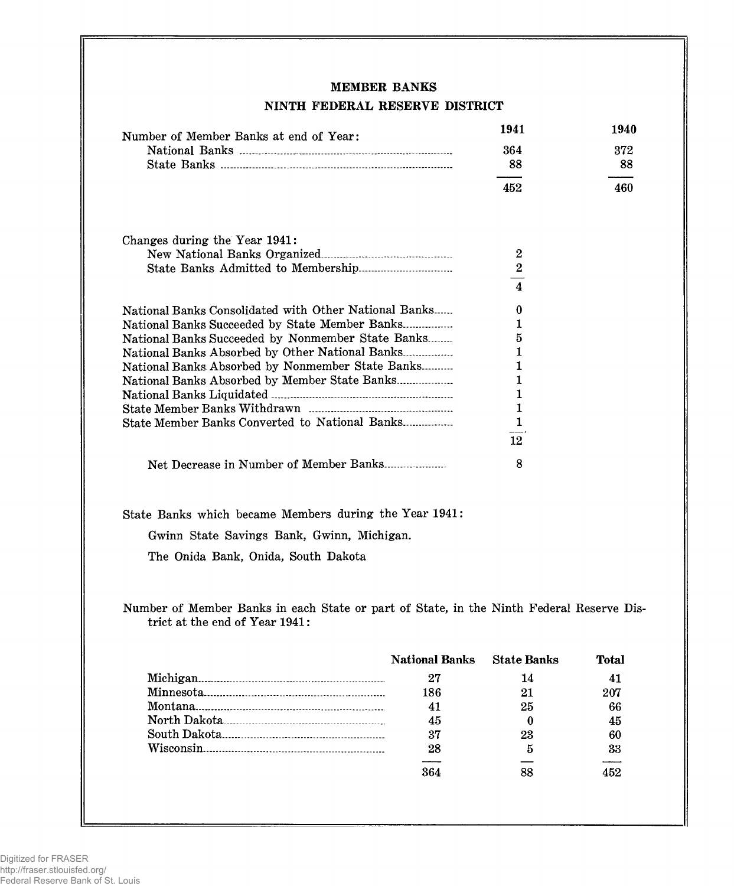## MEMBER BANKS

## NINTH FEDERAL RESERVE DISTRICT

| Number of Member Banks at end of Year:                                                                                     |                       | 1941                    | 1940  |
|----------------------------------------------------------------------------------------------------------------------------|-----------------------|-------------------------|-------|
|                                                                                                                            |                       | 364                     | 372   |
|                                                                                                                            |                       | 88                      | 88    |
|                                                                                                                            |                       | 452                     | 460   |
| Changes during the Year 1941:                                                                                              |                       |                         |       |
|                                                                                                                            |                       | 2                       |       |
|                                                                                                                            |                       | $\bf 2$                 |       |
|                                                                                                                            |                       | $\overline{\mathbf{4}}$ |       |
| National Banks Consolidated with Other National Banks                                                                      |                       | $\bf{0}$                |       |
| National Banks Succeeded by State Member Banks                                                                             |                       | 1                       |       |
| National Banks Succeeded by Nonmember State Banks                                                                          |                       | 5                       |       |
| National Banks Absorbed by Other National Banks                                                                            |                       | 1                       |       |
| National Banks Absorbed by Nonmember State Banks                                                                           |                       | 1                       |       |
| National Banks Absorbed by Member State Banks                                                                              |                       | 1                       |       |
|                                                                                                                            |                       | 1                       |       |
|                                                                                                                            |                       | $\mathbf{1}$            |       |
| State Member Banks Converted to National Banks                                                                             |                       | $\mathbf{1}$            |       |
|                                                                                                                            |                       | 12                      |       |
| Net Decrease in Number of Member Banks                                                                                     |                       | 8                       |       |
| State Banks which became Members during the Year 1941:                                                                     |                       |                         |       |
| Gwinn State Savings Bank, Gwinn, Michigan.                                                                                 |                       |                         |       |
| The Onida Bank, Onida, South Dakota                                                                                        |                       |                         |       |
| Number of Member Banks in each State or part of State, in the Ninth Federal Reserve Dis-<br>trict at the end of Year 1941: |                       |                         |       |
|                                                                                                                            | <b>National Banks</b> | <b>State Banks</b>      | Total |
|                                                                                                                            | 27                    | 14                      | 41    |
|                                                                                                                            | 186                   | 21                      | 207   |
|                                                                                                                            | 41                    | 25                      | 66    |
|                                                                                                                            | 45                    | 0                       | 45    |
|                                                                                                                            | 37                    | 23                      |       |
|                                                                                                                            |                       |                         | 60    |
|                                                                                                                            | 28                    | 5                       | 33    |
|                                                                                                                            | 364                   | 88                      | 452   |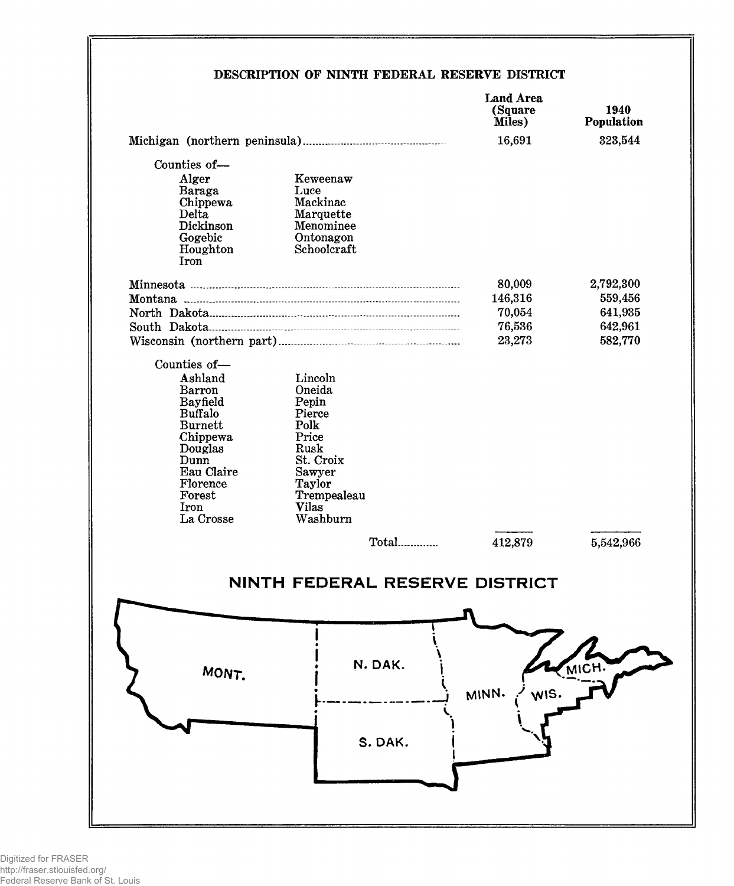## DESCRIPTION OF NINTH FEDERAL RESERVE DISTRICT

|                            |                   |         | <b>Land Area</b><br>(Square<br>Miles)<br>16,691 | 1940<br>Population<br>323,544 |
|----------------------------|-------------------|---------|-------------------------------------------------|-------------------------------|
|                            |                   |         |                                                 |                               |
| Counties of-               |                   |         |                                                 |                               |
| Alger                      | Keweenaw          |         |                                                 |                               |
| Baraga<br>Chippewa         | Luce<br>Mackinac  |         |                                                 |                               |
| Delta                      | Marquette         |         |                                                 |                               |
| Dickinson                  | Menominee         |         |                                                 |                               |
| Gogebic                    | Ontonagon         |         |                                                 |                               |
| Houghton<br>Iron           | Schoolcraft       |         |                                                 |                               |
|                            |                   |         |                                                 |                               |
|                            |                   |         | 80,009                                          | 2,792,300                     |
|                            |                   |         | 146,316                                         | 559,456                       |
|                            |                   |         | 70,054                                          | 641,935                       |
|                            |                   |         | 76,536                                          | 642,961                       |
|                            |                   |         | 23,273                                          | 582,770                       |
| Counties of-               |                   |         |                                                 |                               |
| Ashland                    | Lincoln           |         |                                                 |                               |
| <b>Barron</b>              | Oneida            |         |                                                 |                               |
| Bayfield<br><b>Buffalo</b> | Pepin<br>Pierce   |         |                                                 |                               |
| <b>Burnett</b>             | Polk              |         |                                                 |                               |
| Chippewa                   | Price             |         |                                                 |                               |
| Douglas<br>Dunn            | Rusk<br>St. Croix |         |                                                 |                               |
| Eau Claire                 | Sawyer            |         |                                                 |                               |
| Florence                   | Taylor            |         |                                                 |                               |
| Forest                     | Trempealeau       |         |                                                 |                               |
| Iron<br>La Crosse          | Vilas<br>Washburn |         |                                                 |                               |
|                            |                   |         |                                                 |                               |
|                            |                   |         | 412,879                                         | 5,542,966                     |
|                            |                   |         |                                                 |                               |
|                            |                   |         | NINTH FEDERAL RESERVE DISTRICT                  |                               |
|                            |                   |         |                                                 |                               |
|                            |                   |         |                                                 |                               |
|                            |                   |         |                                                 |                               |
|                            |                   |         |                                                 |                               |
|                            |                   | N. DAK. |                                                 | MICH.                         |
| MONT.                      |                   |         |                                                 |                               |
|                            |                   |         | WIS.<br>MINN.                                   |                               |
|                            |                   |         |                                                 |                               |
|                            |                   |         |                                                 |                               |
|                            |                   | S. DAK. |                                                 |                               |
|                            |                   |         |                                                 |                               |
|                            |                   |         |                                                 |                               |
|                            |                   |         |                                                 |                               |
|                            |                   |         |                                                 |                               |
|                            |                   |         |                                                 |                               |
|                            |                   |         |                                                 |                               |